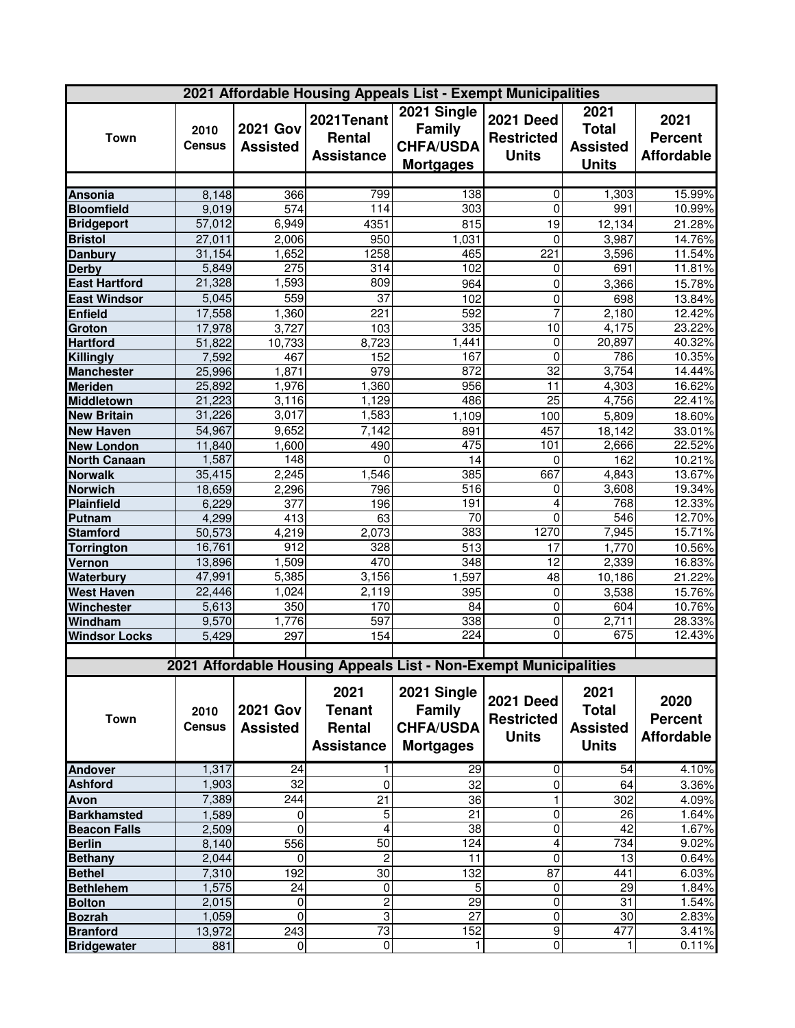| 2021 Affordable Housing Appeals List - Exempt Municipalities |                       |                                    |                                           |                                                                      |                                                       |                                                         |                                             |
|--------------------------------------------------------------|-----------------------|------------------------------------|-------------------------------------------|----------------------------------------------------------------------|-------------------------------------------------------|---------------------------------------------------------|---------------------------------------------|
| <b>Town</b>                                                  | 2010<br><b>Census</b> | <b>2021 Gov</b><br><b>Assisted</b> | 2021Tenant<br>Rental<br><b>Assistance</b> | 2021 Single<br><b>Family</b><br><b>CHFA/USDA</b><br><b>Mortgages</b> | <b>2021 Deed</b><br><b>Restricted</b><br><b>Units</b> | 2021<br><b>Total</b><br><b>Assisted</b><br><b>Units</b> | 2021<br><b>Percent</b><br><b>Affordable</b> |
|                                                              |                       |                                    |                                           |                                                                      |                                                       |                                                         |                                             |
| <b>Ansonia</b>                                               | 8,148                 | 366                                | 799                                       | 138                                                                  | 0                                                     | 1,303                                                   | 15.99%                                      |
| <b>Bloomfield</b>                                            | 9,019                 | $\overline{574}$                   | 114                                       | 303                                                                  | 0                                                     | 991                                                     | 10.99%                                      |
| <b>Bridgeport</b>                                            | 57,012                | 6,949                              | 4351                                      | 815                                                                  | 19                                                    | 12,134                                                  | 21.28%                                      |
| <b>Bristol</b>                                               | 27,011                | 2,006                              | 950                                       | 1,031                                                                | $\Omega$                                              | 3,987                                                   | 14.76%                                      |
| <b>Danbury</b>                                               | 31,154                | 1,652                              | 1258                                      | 465                                                                  | 221                                                   | 3,596                                                   | 11.54%                                      |
| <b>Derby</b>                                                 | 5,849                 | $\overline{275}$                   | 314                                       | 102                                                                  | 0                                                     | 691                                                     | 11.81%                                      |
| <b>East Hartford</b>                                         | 21,328                | 1,593                              | 809                                       | 964                                                                  | 0                                                     | 3,366                                                   | 15.78%                                      |
| <b>East Windsor</b>                                          | 5,045                 | 559                                | $\overline{37}$                           | 102                                                                  | $\pmb{0}$                                             | 698                                                     | 13.84%                                      |
| Enfield                                                      | 17,558                | 1,360                              | 221                                       | 592                                                                  | 7                                                     | 2,180                                                   | 12.42%                                      |
| Groton                                                       | 17,978                | 3,727                              | 103                                       | 335                                                                  | $\overline{10}$                                       | 4,175                                                   | 23.22%                                      |
| <b>Hartford</b>                                              | 51,822                | 10,733                             | 8,723                                     | 1,441                                                                | $\overline{0}$                                        | 20,897                                                  | 40.32%                                      |
| <b>Killingly</b>                                             | 7,592                 | 467                                | 152                                       | 167                                                                  | 0                                                     | 786                                                     | 10.35%                                      |
| <b>Manchester</b>                                            | 25,996                | 1,871                              | 979                                       | 872                                                                  | $\overline{32}$                                       | 3,754                                                   | 14.44%                                      |
| <b>Meriden</b>                                               | 25,892                | 1,976                              | 1,360                                     | 956                                                                  | 11                                                    | 4,303                                                   | 16.62%                                      |
| <b>Middletown</b>                                            | 21,223                | 3,116                              | 1,129                                     | 486                                                                  | 25                                                    | 4,756                                                   | 22.41%                                      |
| <b>New Britain</b>                                           | 31,226                | 3,017                              | 1,583                                     | 1,109                                                                | 100                                                   | 5,809                                                   | 18.60%                                      |
| <b>New Haven</b>                                             | 54,967                | 9,652                              | 7,142                                     | 891                                                                  | 457                                                   | 18,142                                                  | 33.01%                                      |
| <b>New London</b>                                            | 11,840                | 1,600                              | 490                                       | 475                                                                  | 101                                                   | 2,666                                                   | 22.52%                                      |
| <b>North Canaan</b>                                          | 1,587                 | 148                                | 0                                         | 14                                                                   | 0                                                     | 162                                                     | 10.21%                                      |
| <b>Norwalk</b>                                               | 35,415                | 2,245                              | 1,546                                     | 385                                                                  | 667                                                   | 4,843                                                   | 13.67%                                      |
| <b>Norwich</b>                                               | 18,659                | 2,296                              | 796                                       | $\overline{516}$                                                     | 0                                                     | 3,608                                                   | 19.34%                                      |
| <b>Plainfield</b>                                            | 6,229                 | 377                                | 196                                       | 191                                                                  | 4                                                     | 768                                                     | 12.33%                                      |
| Putnam                                                       | 4,299                 | $\overline{413}$                   | 63                                        | 70                                                                   | $\mathbf 0$                                           | 546                                                     | 12.70%                                      |
| <b>Stamford</b>                                              | 50,573                | 4,219                              | 2,073                                     | 383                                                                  | 1270                                                  | 7,945                                                   | 15.71%                                      |
| <b>Torrington</b>                                            | 16,761                | $\overline{912}$                   | 328                                       | 513                                                                  | 17                                                    | 1,770                                                   | 10.56%                                      |
| Vernon                                                       | 13,896                | 1,509                              | $\overline{470}$                          | 348                                                                  | 12                                                    | 2,339                                                   | 16.83%                                      |
| <b>Waterbury</b>                                             | 47,991                | 5,385                              | 3,156                                     | 1,597                                                                | 48                                                    | 10,186                                                  | 21.22%                                      |
| <b>West Haven</b>                                            | 22,446                | 1,024                              | 2,119                                     | 395                                                                  | $\mathbf 0$                                           | 3,538                                                   | 15.76%                                      |
| Winchester                                                   | 5,613                 | 350                                | 170                                       | 84                                                                   | $\overline{0}$                                        | 604                                                     | 10.76%                                      |
| Windham                                                      | 9,570                 | 1,776                              | 597                                       | 338                                                                  | $\overline{0}$                                        | 2,711                                                   | 28.33%                                      |
| <b>Windsor Locks</b>                                         | 5,429                 | 297                                | 154                                       | 224                                                                  | 0                                                     | 675                                                     | 12.43%                                      |
|                                                              |                       |                                    |                                           |                                                                      |                                                       |                                                         |                                             |
|                                                              |                       |                                    |                                           | 2021 Affordable Housing Appeals List - Non-Exempt Municipalities     |                                                       |                                                         |                                             |
|                                                              |                       |                                    | 2021                                      | 2021 Single                                                          | <b>2021 Deed</b>                                      | 2021                                                    | 2020                                        |
| <b>Town</b>                                                  | 2010                  | <b>2021 Gov</b>                    | <b>Tenant</b>                             | <b>Family</b>                                                        | <b>Restricted</b>                                     | <b>Total</b>                                            | <b>Percent</b>                              |
|                                                              | <b>Census</b>         | <b>Assisted</b>                    | Rental                                    | <b>CHFA/USDA</b>                                                     | <b>Units</b>                                          | <b>Assisted</b>                                         |                                             |
|                                                              |                       |                                    | <b>Assistance</b>                         | <b>Mortgages</b>                                                     |                                                       | <b>Units</b>                                            | <b>Affordable</b>                           |
|                                                              | 1,317                 | $\overline{24}$                    |                                           | 29                                                                   | 0                                                     | $\overline{54}$                                         | 4.10%                                       |
| <b>Andover</b>                                               | 1,903                 | 32                                 |                                           |                                                                      |                                                       |                                                         |                                             |
| <b>Ashford</b>                                               |                       |                                    | 0                                         | 32                                                                   | 0                                                     | 64                                                      | 3.36%                                       |
| Avon                                                         | 7,389                 | 244                                | $\overline{21}$                           | $\overline{36}$<br>21                                                | $\mathbf{1}$<br>$\overline{0}$                        | 302                                                     | 4.09%                                       |
| <b>Barkhamsted</b>                                           | 1,589                 | 0<br>$\Omega$                      | 5<br>4                                    |                                                                      |                                                       | 26                                                      | 1.64%<br>1.67%                              |
| <b>Beacon Falls</b><br><b>Berlin</b>                         | 2,509<br>8,140        | 556                                | 50                                        | $\overline{38}$<br>124                                               | $\pmb{0}$<br>4                                        | 42<br>734                                               | 9.02%                                       |
| <b>Bethany</b>                                               | 2,044                 | 0                                  | 2                                         | 11                                                                   | 0                                                     | 13                                                      | 0.64%                                       |
|                                                              | 7,310                 | 192                                | 30                                        | 132                                                                  | 87                                                    | 441                                                     | 6.03%                                       |
| <b>Bethel</b><br><b>Bethlehem</b>                            | 1,575                 | 24                                 | $\mathbf 0$                               | 5                                                                    | $\mathbf 0$                                           | 29                                                      | 1.84%                                       |
|                                                              | 2,015                 | 0                                  | $\overline{\mathbf{c}}$                   | 29                                                                   | $\overline{0}$                                        | 31                                                      | 1.54%                                       |
| <b>Bolton</b><br><b>Bozrah</b>                               | 1,059                 | $\mathbf 0$                        | 3                                         | $\overline{27}$                                                      | $\pmb{0}$                                             | 30                                                      | 2.83%                                       |
| <b>Branford</b>                                              | 13,972                | 243                                | 73                                        | 152                                                                  | $\overline{9}$                                        | 477                                                     | 3.41%                                       |
| <b>Bridgewater</b>                                           | 881                   | $\overline{0}$                     | $\overline{0}$                            | 1                                                                    | $\overline{\mathsf{o}}$                               | 1                                                       | 0.11%                                       |
|                                                              |                       |                                    |                                           |                                                                      |                                                       |                                                         |                                             |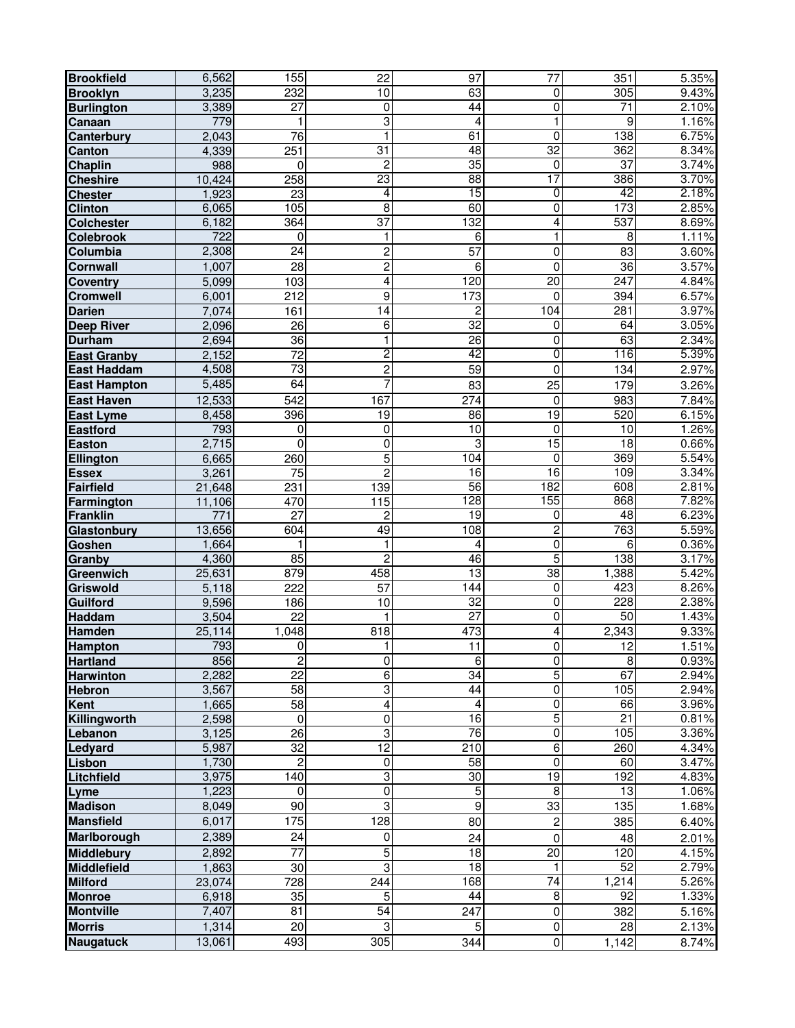| <b>Brookfield</b>   | 6,562            | 155              | 22              | 97               | 77                      | 351             | 5.35% |
|---------------------|------------------|------------------|-----------------|------------------|-------------------------|-----------------|-------|
| <b>Brooklyn</b>     | 3,235            | 232              | 10              | 63               | $\pmb{0}$               | 305             | 9.43% |
| <b>Burlington</b>   | 3,389            | $\overline{27}$  | 0               | 44               | $\overline{0}$          | $\overline{71}$ | 2.10% |
| Canaan              | 779              | 1                | 3               | 4                | 1                       | 9               | 1.16% |
| Canterbury          | 2,043            | $\overline{76}$  | $\mathbf{1}$    | 61               | $\overline{0}$          | 138             | 6.75% |
| Canton              | 4,339            | 251              | 31              | 48               | $\overline{32}$         | 362             | 8.34% |
| <b>Chaplin</b>      | 988              | 0                | $\overline{c}$  | $\overline{35}$  | 0                       | $\overline{37}$ | 3.74% |
| <b>Cheshire</b>     | 10,424           | 258              | 23              | 88               | 17                      | 386             | 3.70% |
| <b>Chester</b>      | 1,923            | 23               | 4               | 15               | $\overline{0}$          | 42              | 2.18% |
| <b>Clinton</b>      | 6,065            | 105              | $\overline{8}$  | 60               | $\overline{0}$          | 173             | 2.85% |
| <b>Colchester</b>   | 6,182            | 364              | $\overline{37}$ | 132              | $\overline{4}$          | 537             | 8.69% |
| <b>Colebrook</b>    | $\overline{722}$ | $\Omega$         | 1               | 6                | $\mathbf{1}$            | 8               | 1.11% |
| Columbia            | 2,308            | 24               | $\overline{c}$  | 57               | $\mathsf 0$             | 83              | 3.60% |
| <b>Cornwall</b>     | 1,007            | 28               | $\overline{c}$  | 6                | $\mathbf 0$             | 36              | 3.57% |
| <b>Coventry</b>     | 5,099            | 103              | 4               | 120              | 20                      | 247             | 4.84% |
| Cromwell            | 6,001            | 212              | 9               | 173              | $\mathbf 0$             | 394             | 6.57% |
| <b>Darien</b>       | 7,074            | 161              | $\overline{14}$ | $\overline{2}$   | 104                     | 281             | 3.97% |
| <b>Deep River</b>   | 2,096            | 26               | 6               | 32               | 0                       | 64              | 3.05% |
| <b>Durham</b>       | 2,694            | $\overline{36}$  | 1               | $\overline{26}$  | $\mathbf 0$             | 63              | 2.34% |
| <b>East Granby</b>  | 2,152            | $\overline{72}$  | $\overline{2}$  | 42               | $\overline{0}$          | 116             | 5.39% |
| <b>East Haddam</b>  | 4,508            | $\overline{73}$  | $\overline{c}$  | $\overline{59}$  | $\mathbf 0$             | 134             | 2.97% |
| <b>East Hampton</b> | 5,485            | 64               |                 | 83               | 25                      | 179             | 3.26% |
| <b>East Haven</b>   | 12,533           | $\overline{542}$ | 167             | $\overline{274}$ | 0                       | 983             | 7.84% |
| <b>East Lyme</b>    | 8,458            | 396              | 19              | 86               | 19                      | 520             | 6.15% |
| <b>Eastford</b>     | 793              | 0                | $\mathbf 0$     | 10               | $\mathbf 0$             | 10              | 1.26% |
| <b>Easton</b>       | 2,715            | $\mathbf 0$      | $\mathbf 0$     | $\overline{3}$   | 15                      | 18              | 0.66% |
| Ellington           | 6,665            | 260              | 5               | 104              | 0                       | 369             | 5.54% |
| <b>Essex</b>        | 3,261            | $\overline{75}$  | $\overline{2}$  | 16               | $\overline{16}$         | 109             | 3.34% |
| <b>Fairfield</b>    | 21,648           | 231              | 139             | 56               | 182                     | 608             | 2.81% |
| Farmington          | 11,106           | 470              | 115             | 128              | 155                     | 868             | 7.82% |
| <b>Franklin</b>     | 771              | 27               | 2               | $\overline{19}$  | 0                       | 48              | 6.23% |
| Glastonbury         | 13,656           | 604              | 49              | 108              | $\overline{2}$          | 763             | 5.59% |
| <b>Goshen</b>       | 1,664            |                  | $\mathbf{1}$    | 4                | $\overline{0}$          | 6               | 0.36% |
| Granby              | 4,360            | 85               | $\overline{c}$  | 46               | $\overline{5}$          | 138             | 3.17% |
| Greenwich           | 25,631           | 879              | 458             | 13               | 38                      | 1,388           | 5.42% |
| <b>Griswold</b>     | 5,118            | 222              | 57              | 144              | $\overline{0}$          | 423             | 8.26% |
| <b>Guilford</b>     | 9,596            | 186              | 10              | 32               | $\pmb{0}$               | 228             | 2.38% |
| <b>Haddam</b>       | 3,504            | $\overline{22}$  |                 | $\overline{27}$  | $\mathsf 0$             | $\overline{50}$ | 1.43% |
| Hamden              | 25,114           | 1,048            | 818             | 473              | $\overline{4}$          | 2,343           | 9.33% |
| <b>Hampton</b>      | 793              | $\overline{0}$   | 1               | 11               | $\overline{\mathsf{o}}$ | 12              | 1.51% |
| <b>Hartland</b>     | 856              | $\boldsymbol{2}$ | 0               | 6                | 0                       | $\overline{8}$  | 0.93% |
| <b>Harwinton</b>    | 2,282            | $\overline{22}$  | 6               | 34               | 5                       | 67              | 2.94% |
| <b>Hebron</b>       | 3,567            | $\overline{58}$  | 3               | 44               | $\overline{0}$          | 105             | 2.94% |
| <b>Kent</b>         | 1,665            | $\overline{58}$  | 4               | 4                | $\overline{0}$          | 66              | 3.96% |
| Killingworth        | 2,598            | 0                | 0               | $\overline{16}$  | $\overline{5}$          | $\overline{21}$ | 0.81% |
| Lebanon             | 3,125            | $\overline{26}$  | 3               | 76               | $\overline{0}$          | 105             | 3.36% |
| Ledyard             | 5,987            | 32               | 12              | $\overline{210}$ | 6                       | 260             | 4.34% |
| Lisbon              | 1,730            | $\overline{c}$   | 0               | $\overline{58}$  | $\overline{0}$          | 60              | 3.47% |
| Litchfield          | 3,975            | 140              | 3               | 30               | 19                      | 192             | 4.83% |
| Lyme                | 1,223            | 0                | 0               | $\overline{5}$   | 8                       | $\overline{13}$ | 1.06% |
| <b>Madison</b>      | 8,049            | $\overline{90}$  | 3               | $\boldsymbol{9}$ | 33                      | 135             | 1.68% |
| <b>Mansfield</b>    | 6,017            | 175              | 128             | 80               | $\overline{\mathbf{c}}$ | 385             | 6.40% |
| Marlborough         | 2,389            | 24               | 0               | 24               | $\mathbf 0$             | 48              | 2.01% |
| <b>Middlebury</b>   | 2,892            | $\overline{77}$  | 5               | 18               | $\overline{20}$         | 120             | 4.15% |
| <b>Middlefield</b>  | 1,863            | 30               | 3               | $\overline{18}$  | 1                       | $\overline{52}$ | 2.79% |
| <b>Milford</b>      | 23,074           | 728              | 244             | 168              | $\overline{74}$         | 1,214           | 5.26% |
| <b>Monroe</b>       | 6,918            | 35               | 5               | $\overline{44}$  | $\overline{8}$          | $\overline{92}$ | 1.33% |
| <b>Montville</b>    | 7,407            | 81               | $\overline{54}$ | 247              | $\pmb{0}$               | 382             | 5.16% |
| <b>Morris</b>       | 1,314            | $\overline{20}$  | 3               | $\overline{5}$   | $\overline{0}$          | 28              | 2.13% |
| <b>Naugatuck</b>    | 13,061           | 493              | 305             | 344              | $\pmb{0}$               |                 |       |
|                     |                  |                  |                 |                  |                         | 1,142           | 8.74% |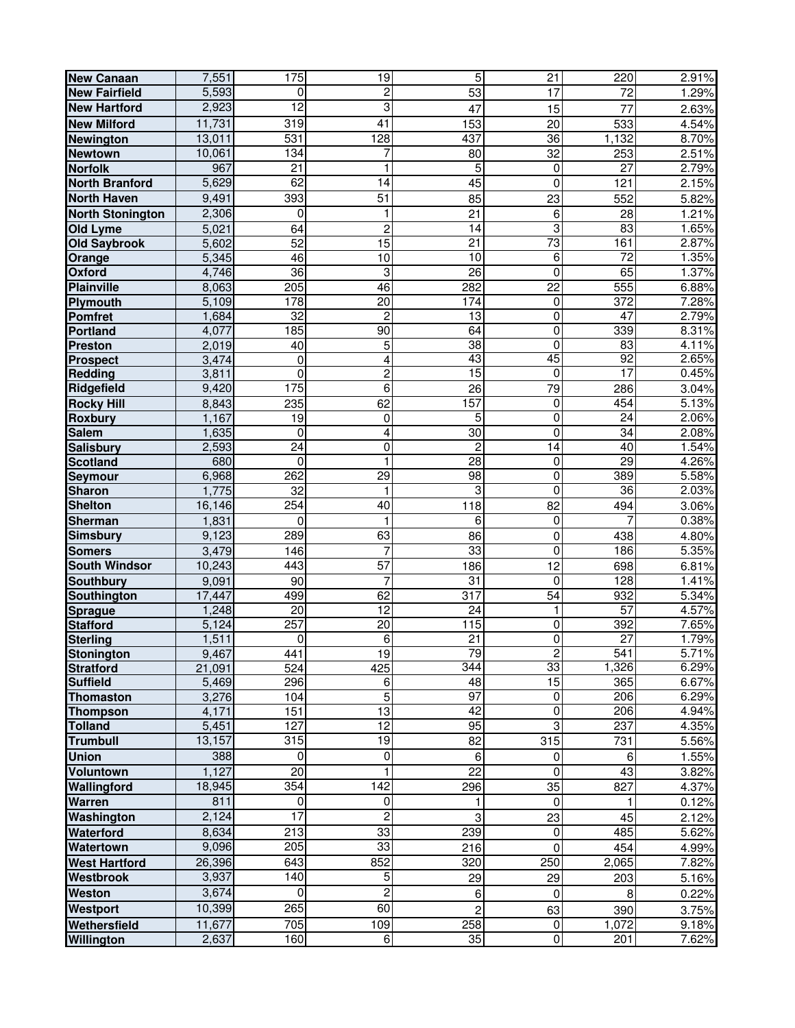| <b>New Canaan</b>       | 7,551  | 175               | 19               | $\overline{5}$            | 21              | 220             | 2.91% |
|-------------------------|--------|-------------------|------------------|---------------------------|-----------------|-----------------|-------|
| <b>New Fairfield</b>    | 5,593  | 0                 | $\overline{c}$   | $\overline{53}$           | 17              | 72              | 1.29% |
| <b>New Hartford</b>     | 2,923  | $\overline{12}$   | 3                | 47                        | 15              | $\overline{77}$ | 2.63% |
| <b>New Milford</b>      | 11,731 | 319               | 41               | 153                       | $\overline{20}$ | 533             | 4.54% |
| <b>Newington</b>        | 13,011 | $\overline{531}$  | 128              | 437                       | 36              | 1,132           | 8.70% |
| <b>Newtown</b>          | 10,061 | 134               | 7                | 80                        | $\overline{32}$ | 253             | 2.51% |
| <b>Norfolk</b>          | 967    | $\overline{21}$   | 1                | $\overline{5}$            | 0               | $\overline{27}$ | 2.79% |
| <b>North Branford</b>   | 5,629  | 62                | 14               | 45                        | $\mathbf 0$     | 121             | 2.15% |
| <b>North Haven</b>      | 9,491  | 393               | 51               |                           |                 |                 |       |
|                         |        |                   |                  | 85                        | 23              | 552             | 5.82% |
| <b>North Stonington</b> | 2,306  | $\mathbf 0$       | 1                | $\overline{21}$           | 6               | 28              | 1.21% |
| <b>Old Lyme</b>         | 5,021  | 64                | $\overline{c}$   | $\overline{14}$           | 3               | 83              | 1.65% |
| <b>Old Saybrook</b>     | 5,602  | $\overline{52}$   | $\overline{15}$  | $\overline{21}$           | $\overline{73}$ | 161             | 2.87% |
| Orange                  | 5,345  | 46                | 10               | 10                        | $\overline{6}$  | $\overline{72}$ | 1.35% |
| Oxford                  | 4,746  | $\overline{36}$   | 3                | 26                        | $\pmb{0}$       | 65              | 1.37% |
| <b>Plainville</b>       | 8,063  | 205               | 46               | 282                       | $\overline{22}$ | 555             | 6.88% |
| Plymouth                | 5,109  | 178               | $\overline{20}$  | 174                       | 0               | 372             | 7.28% |
| Pomfret                 | 1,684  | $\overline{32}$   | $\overline{c}$   | 13                        | $\mathbf 0$     | 47              | 2.79% |
| Portland                | 4,077  | 185               | 90               | 64                        | $\pmb{0}$       | 339             | 8.31% |
| <b>Preston</b>          | 2,019  | 40                | 5                | 38                        | 0               | $\overline{83}$ | 4.11% |
| <b>Prospect</b>         | 3,474  | $\mathbf 0$       | 4                | 43                        | 45              | 92              | 2.65% |
| <b>Redding</b>          | 3,811  | 0                 | $\overline{c}$   | 15                        | $\overline{0}$  | 17              | 0.45% |
| Ridgefield              | 9,420  | $\frac{175}{175}$ | 6                | 26                        | 79              | 286             | 3.04% |
| <b>Rocky Hill</b>       | 8,843  | 235               | 62               | 157                       | $\overline{0}$  | 454             | 5.13% |
| <b>Roxbury</b>          | 1,167  | $\overline{19}$   | 0                | 5                         | $\overline{0}$  | $\overline{24}$ | 2.06% |
| <b>Salem</b>            | 1,635  | $\mathbf 0$       | 4                | 30                        | 0               | 34              | 2.08% |
| <b>Salisbury</b>        | 2,593  | $\overline{24}$   | 0                | $\overline{c}$            | 14              | 40              | 1.54% |
| <b>Scotland</b>         | 680    | $\mathbf{0}$      |                  | 28                        | $\mathbf 0$     | 29              | 4.26% |
| Seymour                 | 6,968  | 262               | 29               | 98                        | $\overline{0}$  | 389             | 5.58% |
| <b>Sharon</b>           | 1,775  | $\overline{32}$   | 1                | 3                         | $\overline{0}$  | 36              | 2.03% |
| <b>Shelton</b>          | 16,146 | 254               | 40               | 118                       | 82              | 494             | 3.06% |
| Sherman                 | 1,831  | 0                 |                  | 6                         | $\overline{0}$  |                 | 0.38% |
| <b>Simsbury</b>         | 9,123  | 289               | 63               | 86                        | $\pmb{0}$       | 438             | 4.80% |
| <b>Somers</b>           | 3,479  | 146               | 7                | 33                        | $\overline{0}$  | 186             | 5.35% |
| <b>South Windsor</b>    | 10,243 | 443               | $\overline{57}$  | 186                       | $\overline{12}$ | 698             | 6.81% |
| <b>Southbury</b>        | 9,091  | 90                | 7                | 31                        | $\mathbf 0$     | 128             | 1.41% |
| Southington             | 17,447 | 499               | 62               | 317                       | 54              | 932             | 5.34% |
| <b>Sprague</b>          | 1,248  | 20                | 12               | 24                        | 1               | $\overline{57}$ | 4.57% |
| <b>Stafford</b>         | 5,124  | 257               | 20               | 115                       | $\overline{0}$  | 392             | 7.65% |
| <b>Sterling</b>         | 1,511  | 0                 | 6                | $\overline{21}$           | $\overline{0}$  | $\overline{27}$ | 1.79% |
| Stonington              | 9,467  | 441               | $\overline{19}$  | 79                        | $\overline{c}$  | 541             | 5.71% |
| <b>Stratford</b>        | 21,091 | $\overline{524}$  | 425              | 344                       | 33              | 1,326           | 6.29% |
| <b>Suffield</b>         | 5,469  | 296               | 6                | 48                        | 15              | 365             | 6.67% |
| <b>Thomaston</b>        | 3,276  | 104               | 5                | 97                        | $\overline{0}$  | 206             | 6.29% |
| <b>Thompson</b>         | 4,171  | 151               | $\overline{13}$  | 42                        | $\pmb{0}$       | 206             | 4.94% |
| <b>Tolland</b>          | 5,451  | 127               | $\overline{12}$  | 95                        | $\overline{3}$  | 237             | 4.35% |
| <b>Trumbull</b>         | 13,157 | 315               | 19               | 82                        | 315             | 731             | 5.56% |
| <b>Union</b>            | 388    | $\mathbf 0$       | $\mathbf 0$      | $\,6\,$                   | 0               | 6               | 1.55% |
| Voluntown               | 1,127  | 20                |                  | $\overline{22}$           | $\overline{0}$  | 43              | 3.82% |
| Wallingford             | 18,945 | 354               | $\overline{142}$ | 296                       | 35              | 827             | 4.37% |
|                         | 811    | 0                 | $\pmb{0}$        |                           | $\pmb{0}$       |                 |       |
| Warren                  |        |                   |                  | 1                         |                 |                 | 0.12% |
| Washington              | 2,124  | 17                | $\overline{c}$   | $\ensuremath{\mathsf{3}}$ | 23              | 45              | 2.12% |
| Waterford               | 8,634  | 213               | 33               | 239                       | $\overline{0}$  | 485             | 5.62% |
| Watertown               | 9,096  | 205               | 33               | 216                       | $\pmb{0}$       | 454             | 4.99% |
| <b>West Hartford</b>    | 26,396 | 643               | 852              | 320                       | 250             | 2,065           | 7.82% |
| Westbrook               | 3,937  | 140               | 5                | 29                        | 29              | 203             | 5.16% |
| <b>Weston</b>           | 3,674  | 0                 | $\overline{c}$   | 6                         | 0               | 8               | 0.22% |
| <b>Westport</b>         | 10,399 | 265               | 60               | $\overline{c}$            | 63              | 390             | 3.75% |
| Wethersfield            | 11,677 | 705               | 109              | 258                       | $\overline{0}$  | 1,072           | 9.18% |
| Willington              | 2,637  | 160               | 6                | 35                        | $\mathbf 0$     | 201             | 7.62% |